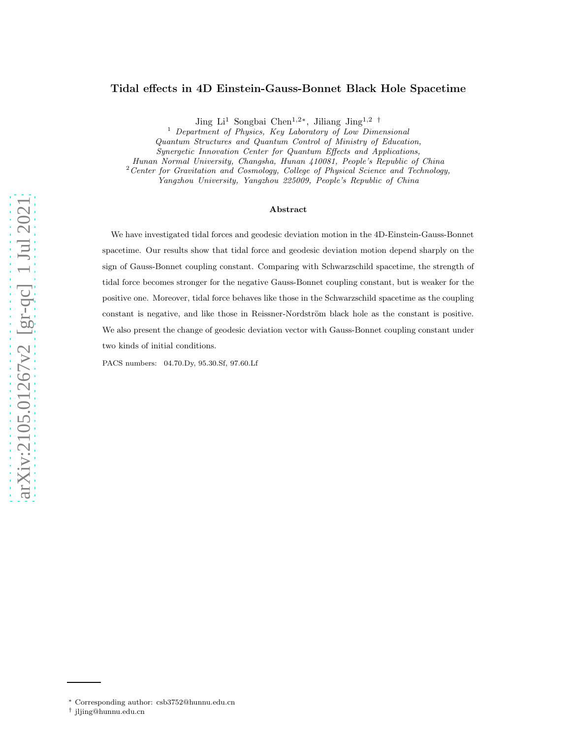# Tidal effects in 4D Einstein-Gauss-Bonnet Black Hole Spacetime

Jing Li<sup>1</sup> Songbai Chen<sup>1,2\*</sup>, Jiliang Jing<sup>1,2</sup><sup>†</sup>

<sup>1</sup> Department of Physics, Key Laboratory of Low Dimensional

Quantum Structures and Quantum Control of Ministry of Education,

Synergetic Innovation Center for Quantum Effects and Applications,

Hunan Normal University, Changsha, Hunan 410081, People's Republic of China

<sup>2</sup> Center for Gravitation and Cosmology, College of Physical Science and Technology,

Yangzhou University, Yangzhou 225009, People's Republic of China

## Abstract

We have investigated tidal forces and geodesic deviation motion in the 4D-Einstein-Gauss-Bonnet spacetime. Our results show that tidal force and geodesic deviation motion depend sharply on the sign of Gauss-Bonnet coupling constant. Comparing with Schwarzschild spacetime, the strength of tidal force becomes stronger for the negative Gauss-Bonnet coupling constant, but is weaker for the positive one. Moreover, tidal force behaves like those in the Schwarzschild spacetime as the coupling constant is negative, and like those in Reissner-Nordström black hole as the constant is positive. We also present the change of geodesic deviation vector with Gauss-Bonnet coupling constant under two kinds of initial conditions.

PACS numbers: 04.70.Dy, 95.30.Sf, 97.60.Lf

arXiv:2105.01267v2 [gr-qc] 1 Jul 2021 [arXiv:2105.01267v2 \[gr-qc\] 1 Jul 2021](http://arxiv.org/abs/2105.01267v2)

<sup>∗</sup> Corresponding author: csb3752@hunnu.edu.cn

<sup>†</sup> jljing@hunnu.edu.cn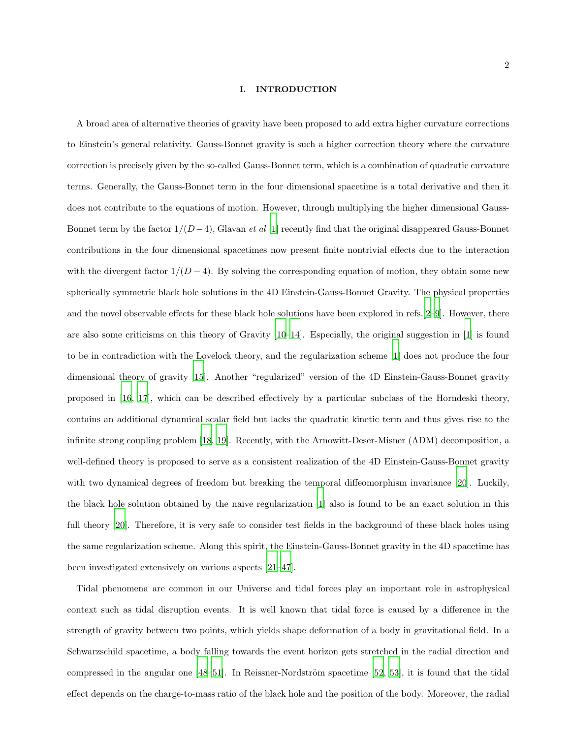#### I. INTRODUCTION

A broad area of alternative theories of gravity have been proposed to add extra higher curvature corrections to Einstein's general relativity. Gauss-Bonnet gravity is such a higher correction theory where the curvature correction is precisely given by the so-called Gauss-Bonnet term, which is a combination of quadratic curvature terms. Generally, the Gauss-Bonnet term in the four dimensional spacetime is a total derivative and then it does not contribute to the equations of motion. However, through multiplying the higher dimensional Gauss-Bonnet term by the factor  $1/(D-4)$ , Glavan *et al* [\[1](#page-10-0)] recently find that the original disappeared Gauss-Bonnet contributions in the four dimensional spacetimes now present finite nontrivial effects due to the interaction with the divergent factor  $1/(D-4)$ . By solving the corresponding equation of motion, they obtain some new spherically symmetric black hole solutions in the 4D Einstein-Gauss-Bonnet Gravity. The physical properties and the novel observable effects for these black hole solutions have been explored in refs.[\[2](#page-10-1)[–9\]](#page-11-0). However, there are also some criticisms on this theory of Gravity  $[10-14]$ . Especially, the original suggestion in  $[1]$  is found to be in contradiction with the Lovelock theory, and the regularization scheme [\[1\]](#page-10-0) does not produce the four dimensional theory of gravity [\[15\]](#page-11-3). Another "regularized" version of the 4D Einstein-Gauss-Bonnet gravity proposed in [\[16](#page-11-4), [17\]](#page-11-5), which can be described effectively by a particular subclass of the Horndeski theory, contains an additional dynamical scalar field but lacks the quadratic kinetic term and thus gives rise to the infinite strong coupling problem [\[18,](#page-11-6) [19\]](#page-11-7). Recently, with the Arnowitt-Deser-Misner (ADM) decomposition, a well-defined theory is proposed to serve as a consistent realization of the 4D Einstein-Gauss-Bonnet gravity with two dynamical degrees of freedom but breaking the temporal diffeomorphism invariance [20]. Luckily, the black hole solution obtained by the naive regularization [\[1\]](#page-10-0) also is found to be an exact solution in this full theory [20]. Therefore, it is very safe to consider test fields in the background of these black holes using the same regularization scheme. Along this spirit, the Einstein-Gauss-Bonnet gravity in the 4D spacetime has been investigated extensively on various aspects [\[21](#page-11-8)[–47\]](#page-12-0).

Tidal phenomena are common in our Universe and tidal forces play an important role in astrophysical context such as tidal disruption events. It is well known that tidal force is caused by a difference in the strength of gravity between two points, which yields shape deformation of a body in gravitational field. In a Schwarzschild spacetime, a body falling towards the event horizon gets stretched in the radial direction and compressed in the angular one  $[48–51]$ . In Reissner-Nordström spacetime  $[52, 53]$  $[52, 53]$ , it is found that the tidal effect depends on the charge-to-mass ratio of the black hole and the position of the body. Moreover, the radial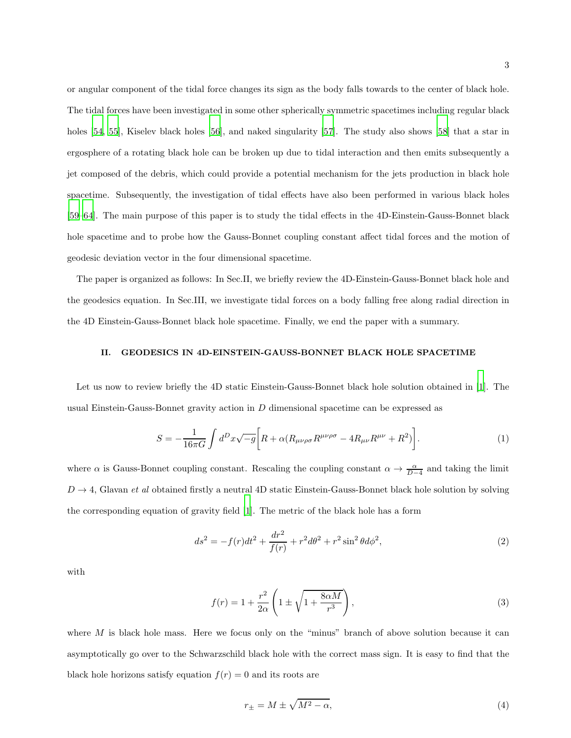or angular component of the tidal force changes its sign as the body falls towards to the center of black hole. The tidal forces have been investigated in some other spherically symmetric spacetimes including regular black holes [\[54](#page-13-0), [55\]](#page-13-1), Kiselev black holes [\[56](#page-13-2)], and naked singularity [57]. The study also shows [\[58\]](#page-13-3) that a star in ergosphere of a rotating black hole can be broken up due to tidal interaction and then emits subsequently a jet composed of the debris, which could provide a potential mechanism for the jets production in black hole spacetime. Subsequently, the investigation of tidal effects have also been performed in various black holes [\[59](#page-13-4)[–64\]](#page-13-5). The main purpose of this paper is to study the tidal effects in the 4D-Einstein-Gauss-Bonnet black hole spacetime and to probe how the Gauss-Bonnet coupling constant affect tidal forces and the motion of geodesic deviation vector in the four dimensional spacetime.

The paper is organized as follows: In Sec.II, we briefly review the 4D-Einstein-Gauss-Bonnet black hole and the geodesics equation. In Sec.III, we investigate tidal forces on a body falling free along radial direction in the 4D Einstein-Gauss-Bonnet black hole spacetime. Finally, we end the paper with a summary.

## II. GEODESICS IN 4D-EINSTEIN-GAUSS-BONNET BLACK HOLE SPACETIME

Let us now to review briefly the 4D static Einstein-Gauss-Bonnet black hole solution obtained in [\[1\]](#page-10-0). The usual Einstein-Gauss-Bonnet gravity action in  $D$  dimensional spacetime can be expressed as

$$
S = -\frac{1}{16\pi G} \int d^D x \sqrt{-g} \left[ R + \alpha (R_{\mu\nu\rho\sigma} R^{\mu\nu\rho\sigma} - 4R_{\mu\nu} R^{\mu\nu} + R^2) \right]. \tag{1}
$$

where  $\alpha$  is Gauss-Bonnet coupling constant. Rescaling the coupling constant  $\alpha \to \frac{\alpha}{D-4}$  and taking the limit  $D \rightarrow 4$ , Glavan *et al* obtained firstly a neutral 4D static Einstein-Gauss-Bonnet black hole solution by solving the corresponding equation of gravity field [\[1](#page-10-0)]. The metric of the black hole has a form

<span id="page-2-0"></span>
$$
ds^{2} = -f(r)dt^{2} + \frac{dr^{2}}{f(r)} + r^{2}d\theta^{2} + r^{2}\sin^{2}\theta d\phi^{2},
$$
\n(2)

with

$$
f(r) = 1 + \frac{r^2}{2\alpha} \left( 1 \pm \sqrt{1 + \frac{8\alpha M}{r^3}} \right),\tag{3}
$$

where  $M$  is black hole mass. Here we focus only on the "minus" branch of above solution because it can asymptotically go over to the Schwarzschild black hole with the correct mass sign. It is easy to find that the black hole horizons satisfy equation  $f(r) = 0$  and its roots are

$$
r_{\pm} = M \pm \sqrt{M^2 - \alpha},\tag{4}
$$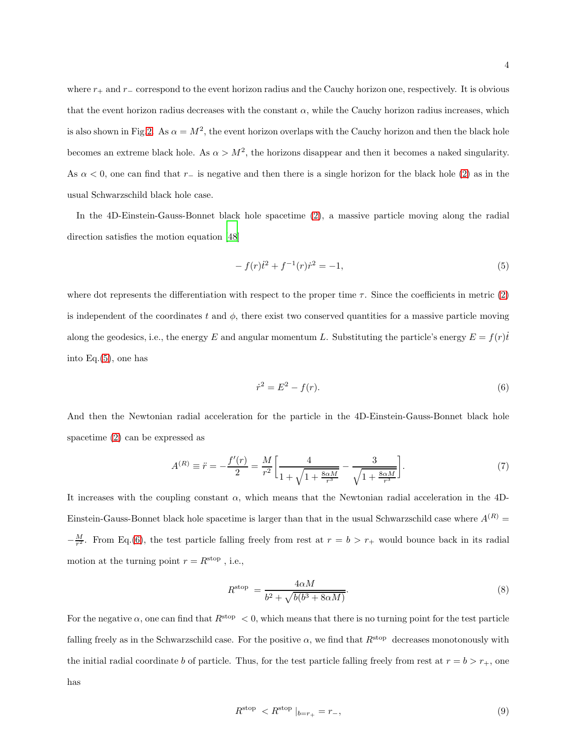4

where  $r_+$  and  $r_$  correspond to the event horizon radius and the Cauchy horizon one, respectively. It is obvious that the event horizon radius decreases with the constant  $\alpha$ , while the Cauchy horizon radius increases, which is also shown in Fig[.2.](#page-6-0) As  $\alpha = M^2$ , the event horizon overlaps with the Cauchy horizon and then the black hole becomes an extreme black hole. As  $\alpha > M^2$ , the horizons disappear and then it becomes a naked singularity. As  $\alpha$  < 0, one can find that r− is negative and then there is a single horizon for the black hole [\(2\)](#page-2-0) as in the usual Schwarzschild black hole case.

In the 4D-Einstein-Gauss-Bonnet black hole spacetime [\(2\)](#page-2-0), a massive particle moving along the radial direction satisfies the motion equation [\[48\]](#page-12-1)

<span id="page-3-0"></span>
$$
-f(r)\dot{t}^2 + f^{-1}(r)\dot{r}^2 = -1,\tag{5}
$$

where dot represents the differentiation with respect to the proper time  $\tau$ . Since the coefficients in metric [\(2\)](#page-2-0) is independent of the coordinates t and  $\phi$ , there exist two conserved quantities for a massive particle moving along the geodesics, i.e., the energy E and angular momentum L. Substituting the particle's energy  $E = f(r)\dot{t}$ into Eq.[\(5\)](#page-3-0), one has

<span id="page-3-1"></span>
$$
\dot{r}^2 = E^2 - f(r). \tag{6}
$$

And then the Newtonian radial acceleration for the particle in the 4D-Einstein-Gauss-Bonnet black hole spacetime [\(2\)](#page-2-0) can be expressed as

$$
A^{(R)} \equiv \ddot{r} = -\frac{f'(r)}{2} = \frac{M}{r^2} \left[ \frac{4}{1 + \sqrt{1 + \frac{8\alpha M}{r^3}}} - \frac{3}{\sqrt{1 + \frac{8\alpha M}{r^3}}} \right].
$$
 (7)

It increases with the coupling constant  $\alpha$ , which means that the Newtonian radial acceleration in the 4D-Einstein-Gauss-Bonnet black hole spacetime is larger than that in the usual Schwarzschild case where  $A^{(R)}$  =  $-\frac{M}{r^2}$ . From Eq.[\(6\)](#page-3-1), the test particle falling freely from rest at  $r = b > r_+$  would bounce back in its radial motion at the turning point  $r=R^{\rm stop}$  , i.e.,

$$
R^{\text{stop}} = \frac{4\alpha M}{b^2 + \sqrt{b(b^3 + 8\alpha M)}}.\tag{8}
$$

For the negative  $\alpha$ , one can find that  $R^{stop} < 0$ , which means that there is no turning point for the test particle falling freely as in the Schwarzschild case. For the positive  $\alpha$ , we find that  $R^{\text{stop}}$  decreases monotonously with the initial radial coordinate b of particle. Thus, for the test particle falling freely from rest at  $r = b > r_{+}$ , one has

$$
R^{\text{stop}} < R^{\text{stop}} \mid_{b=r_+} = r_-, \tag{9}
$$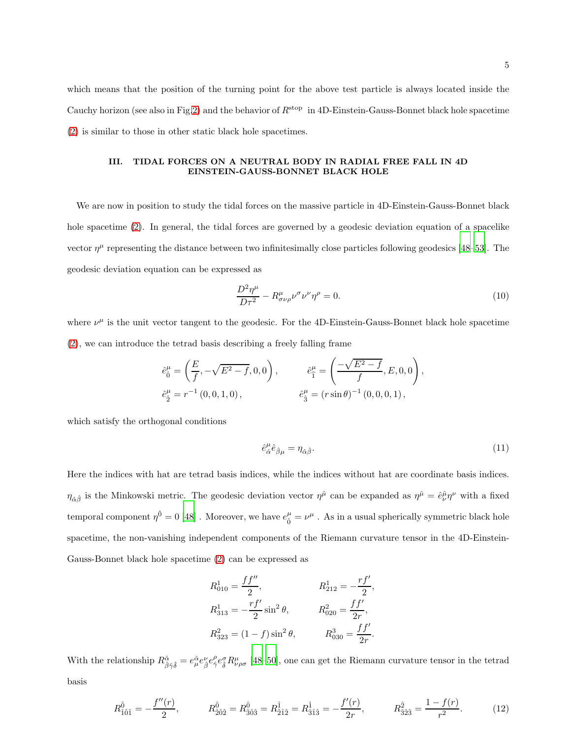which means that the position of the turning point for the above test particle is always located inside the Cauchy horizon (see also in Fig[.2\)](#page-6-0) and the behavior of  $R^{stop}$  in 4D-Einstein-Gauss-Bonnet black hole spacetime [\(2\)](#page-2-0) is similar to those in other static black hole spacetimes.

### III. TIDAL FORCES ON A NEUTRAL BODY IN RADIAL FREE FALL IN 4D EINSTEIN-GAUSS-BONNET BLACK HOLE

We are now in position to study the tidal forces on the massive particle in 4D-Einstein-Gauss-Bonnet black hole spacetime [\(2\)](#page-2-0). In general, the tidal forces are governed by a geodesic deviation equation of a spacelike vector  $\eta^{\mu}$  representing the distance between two infinitesimally close particles following geodesics [\[48](#page-12-1)[–53](#page-12-3)]. The geodesic deviation equation can be expressed as

$$
\frac{D^2\eta^{\mu}}{D\tau^2} - R^{\mu}_{\sigma\nu\rho}\nu^{\sigma}\nu^{\nu}\eta^{\rho} = 0.
$$
\n(10)

where  $\nu^{\mu}$  is the unit vector tangent to the geodesic. For the 4D-Einstein-Gauss-Bonnet black hole spacetime [\(2\)](#page-2-0), we can introduce the tetrad basis describing a freely falling frame

$$
\begin{aligned}\n\hat{e}_0^{\mu} &= \left(\frac{E}{f}, -\sqrt{E^2 - f}, 0, 0\right), & \hat{e}_1^{\mu} &= \left(\frac{-\sqrt{E^2 - f}}{f}, E, 0, 0\right) \\
\hat{e}_2^{\mu} &= r^{-1}(0, 0, 1, 0), & \hat{e}_3^{\mu} &= \left(r \sin \theta\right)^{-1}(0, 0, 0, 1),\n\end{aligned}
$$

which satisfy the orthogonal conditions

$$
\hat{e}^{\mu}_{\hat{\alpha}}\hat{e}_{\hat{\beta}\mu} = \eta_{\hat{\alpha}\hat{\beta}}.\tag{11}
$$

,

Here the indices with hat are tetrad basis indices, while the indices without hat are coordinate basis indices.  $\eta_{\hat{\alpha}\hat{\beta}}$  is the Minkowski metric. The geodesic deviation vector  $\eta^{\hat{\mu}}$  can be expanded as  $\eta^{\hat{\mu}} = \hat{e}^{\hat{\mu}}_{\nu} \eta^{\nu}$  with a fixed temporal component  $\eta^{\hat{0}} = 0$  [\[48\]](#page-12-1). Moreover, we have  $e^{\mu}_{\hat{0}} = \nu^{\mu}$ . As in a usual spherically symmetric black hole spacetime, the non-vanishing independent components of the Riemann curvature tensor in the 4D-Einstein-Gauss-Bonnet black hole spacetime [\(2\)](#page-2-0) can be expressed as

$$
R_{010}^{1} = \frac{f f''}{2}, \qquad R_{212}^{1} = -\frac{r f'}{2},
$$
  
\n
$$
R_{313}^{1} = -\frac{r f'}{2} \sin^{2} \theta, \qquad R_{020}^{2} = \frac{f f'}{2r},
$$
  
\n
$$
R_{323}^{2} = (1 - f) \sin^{2} \theta, \qquad R_{030}^{3} = \frac{f f'}{2r}.
$$

With the relationship  $R^{\hat{\alpha}}_{\hat{\beta}\hat{\gamma}\hat{\delta}} = e^{\hat{\alpha}}_{\mu}e^{\nu}_{\hat{\beta}}e^{\rho}_{\hat{\gamma}}e^{\sigma}_{\hat{\delta}}R^{\mu}_{\nu\rho\sigma}$  [\[48](#page-12-1)[–50](#page-12-4)], one can get the Riemann curvature tensor in the tetrad basis

$$
R_{\hat{1}\hat{0}\hat{1}}^{\hat{0}} = -\frac{f''(r)}{2}, \qquad R_{\hat{2}\hat{0}\hat{2}}^{\hat{0}} = R_{\hat{3}\hat{0}\hat{3}}^{\hat{0}} = R_{\hat{2}\hat{1}\hat{2}}^{\hat{1}} = R_{\hat{3}\hat{1}\hat{3}}^{\hat{1}} = -\frac{f'(r)}{2r}, \qquad R_{\hat{3}\hat{2}\hat{3}}^{\hat{2}} = \frac{1 - f(r)}{r^2}.
$$
 (12)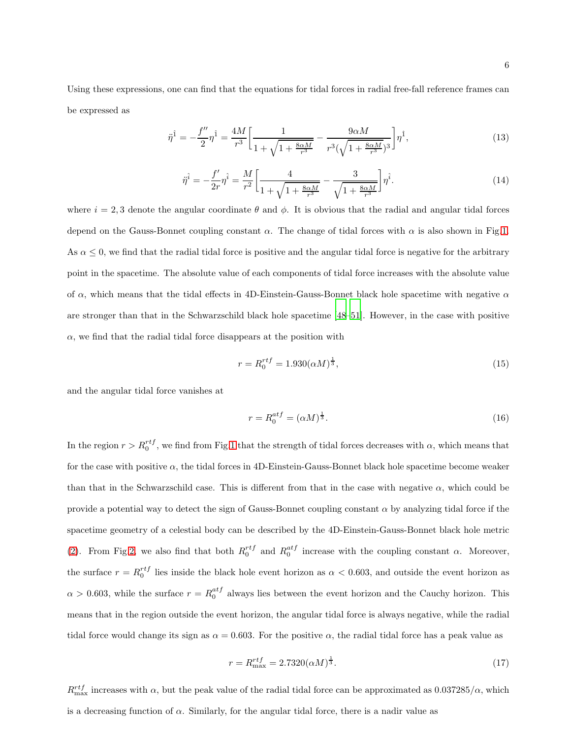Using these expressions, one can find that the equations for tidal forces in radial free-fall reference frames can be expressed as

<span id="page-5-0"></span>
$$
\ddot{\eta}^{\hat{1}} = -\frac{f''}{2}\eta^{\hat{1}} = \frac{4M}{r^3} \bigg[ \frac{1}{1 + \sqrt{1 + \frac{8\alpha M}{r^3}}} - \frac{9\alpha M}{r^3(\sqrt{1 + \frac{8\alpha M}{r^3}})^3} \bigg] \eta^{\hat{1}},\tag{13}
$$

<span id="page-5-1"></span>
$$
\ddot{\eta}^{\hat{i}} = -\frac{f'}{2r}\eta^{\hat{i}} = \frac{M}{r^2} \bigg[ \frac{4}{1 + \sqrt{1 + \frac{8\alpha M}{r^3}}} - \frac{3}{\sqrt{1 + \frac{8\alpha M}{r^3}}} \bigg] \eta^{\hat{i}}.
$$
\n(14)

where  $i = 2, 3$  denote the angular coordinate  $\theta$  and  $\phi$ . It is obvious that the radial and angular tidal forces depend on the Gauss-Bonnet coupling constant  $\alpha$ . The change of tidal forces with  $\alpha$  is also shown in Fig[.1.](#page-6-1) As  $\alpha \leq 0$ , we find that the radial tidal force is positive and the angular tidal force is negative for the arbitrary point in the spacetime. The absolute value of each components of tidal force increases with the absolute value of  $\alpha$ , which means that the tidal effects in 4D-Einstein-Gauss-Bonnet black hole spacetime with negative  $\alpha$ are stronger than that in the Schwarzschild black hole spacetime [\[48](#page-12-1)–51]. However, in the case with positive  $\alpha$ , we find that the radial tidal force disappears at the position with

$$
r = R_0^{rtf} = 1.930(\alpha M)^{\frac{1}{3}},\tag{15}
$$

and the angular tidal force vanishes at

$$
r = R_0^{atf} = (\alpha M)^{\frac{1}{3}}.
$$
\n(16)

In the region  $r > R_0^{rt}$ , we find from Fig[.1](#page-6-1) that the strength of tidal forces decreases with  $\alpha$ , which means that for the case with positive  $\alpha$ , the tidal forces in 4D-Einstein-Gauss-Bonnet black hole spacetime become weaker than that in the Schwarzschild case. This is different from that in the case with negative  $\alpha$ , which could be provide a potential way to detect the sign of Gauss-Bonnet coupling constant  $\alpha$  by analyzing tidal force if the spacetime geometry of a celestial body can be described by the 4D-Einstein-Gauss-Bonnet black hole metric [\(2\)](#page-2-0). From Fig[.2,](#page-6-0) we also find that both  $R_0^{rtf}$  and  $R_0^{atf}$  increase with the coupling constant  $\alpha$ . Moreover, the surface  $r = R_0^{rtf}$  lies inside the black hole event horizon as  $\alpha < 0.603$ , and outside the event horizon as  $\alpha > 0.603$ , while the surface  $r = R_0^{atf}$  always lies between the event horizon and the Cauchy horizon. This means that in the region outside the event horizon, the angular tidal force is always negative, while the radial tidal force would change its sign as  $\alpha = 0.603$ . For the positive  $\alpha$ , the radial tidal force has a peak value as

$$
r = R_{\text{max}}^{rtf} = 2.7320(\alpha M)^{\frac{1}{3}}.
$$
\n(17)

 $R_{\text{max}}^{rtf}$  increases with  $\alpha$ , but the peak value of the radial tidal force can be approximated as  $0.037285/\alpha$ , which is a decreasing function of  $\alpha$ . Similarly, for the angular tidal force, there is a nadir value as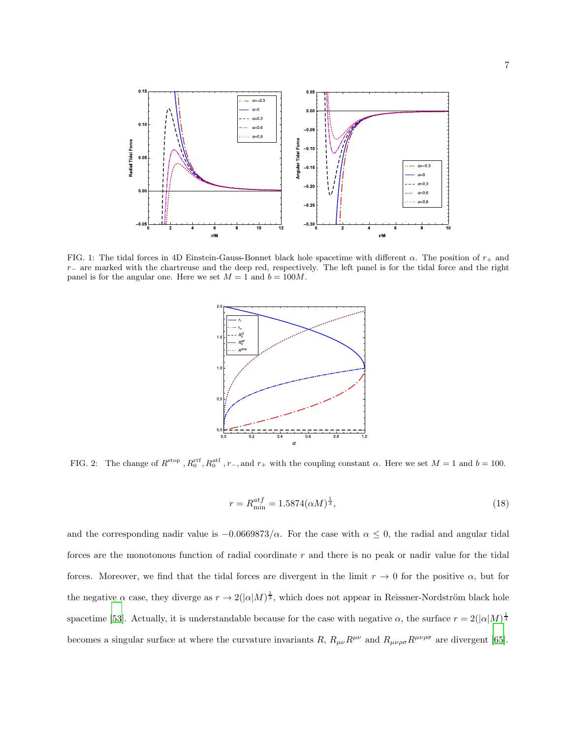

<span id="page-6-1"></span>FIG. 1: The tidal forces in 4D Einstein-Gauss-Bonnet black hole spacetime with different  $\alpha$ . The position of  $r_{+}$  and  $r_$ − are marked with the chartreuse and the deep red, respectively. The left panel is for the tidal force and the right panel is for the angular one. Here we set  $M = 1$  and  $b = 100M$ .



<span id="page-6-0"></span>FIG. 2: The change of  $R^{\text{stop}}$ ,  $R_0^{\text{ref}}$ ,  $R_0^{\text{aff}}$ ,  $r_-$ , and  $r_+$  with the coupling constant  $\alpha$ . Here we set  $M = 1$  and  $b = 100$ .

$$
r = R_{\min}^{atf} = 1.5874(\alpha M)^{\frac{1}{3}},\tag{18}
$$

and the corresponding nadir value is  $-0.0669873/\alpha$ . For the case with  $\alpha \leq 0$ , the radial and angular tidal forces are the monotonous function of radial coordinate r and there is no peak or nadir value for the tidal forces. Moreover, we find that the tidal forces are divergent in the limit  $r \to 0$  for the positive  $\alpha$ , but for the negative  $\alpha$  case, they diverge as  $r \to 2(|\alpha|M)^{\frac{1}{3}}$ , which does not appear in Reissner-Nordström black hole spacetime [\[53\]](#page-12-3). Actually, it is understandable because for the case with negative  $\alpha$ , the surface  $r = 2(|\alpha|M)^{\frac{1}{3}}$ becomes a singular surface at where the curvature invariants R,  $R_{\mu\nu}R^{\mu\nu}$  and  $R_{\mu\nu\rho\sigma}R^{\mu\nu\rho\sigma}$  are divergent [\[65\]](#page-13-6).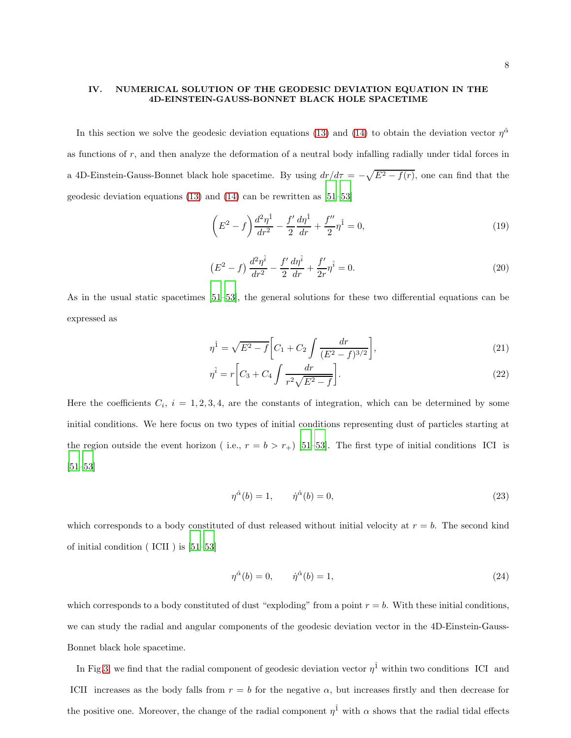## IV. NUMERICAL SOLUTION OF THE GEODESIC DEVIATION EQUATION IN THE 4D-EINSTEIN-GAUSS-BONNET BLACK HOLE SPACETIME

In this section we solve the geodesic deviation equations [\(13\)](#page-5-0) and [\(14\)](#page-5-1) to obtain the deviation vector  $\eta^{\hat{\alpha}}$ as functions of r, and then analyze the deformation of a neutral body infalling radially under tidal forces in a 4D-Einstein-Gauss-Bonnet black hole spacetime. By using  $dr/d\tau = -\sqrt{E^2 - f(r)}$ , one can find that the geodesic deviation equations [\(13\)](#page-5-0) and [\(14\)](#page-5-1) can be rewritten as [51[–53\]](#page-12-3)

$$
\left(E^2 - f\right) \frac{d^2 \eta^{\hat{1}}}{dr^2} - \frac{f'}{2} \frac{d\eta^{\hat{1}}}{dr} + \frac{f''}{2} \eta^{\hat{1}} = 0,
$$
\n(19)

$$
\left(E^2 - f\right) \frac{d^2 \eta^{\hat{i}}}{dr^2} - \frac{f'}{2} \frac{d\eta^{\hat{i}}}{dr} + \frac{f'}{2r} \eta^{\hat{i}} = 0. \tag{20}
$$

As in the usual static spacetimes [51[–53\]](#page-12-3), the general solutions for these two differential equations can be expressed as

$$
\eta^{\hat{1}} = \sqrt{E^2 - f} \left[ C_1 + C_2 \int \frac{dr}{(E^2 - f)^{3/2}} \right],\tag{21}
$$

$$
\eta^{\hat{i}} = r \left[ C_3 + C_4 \int \frac{dr}{r^2 \sqrt{E^2 - f}} \right].
$$
\n(22)

Here the coefficients  $C_i$ ,  $i = 1, 2, 3, 4$ , are the constants of integration, which can be determined by some initial conditions. We here focus on two types of initial conditions representing dust of particles starting at the region outside the event horizon ( i.e.,  $r = b > r_+$ ) [51[–53\]](#page-12-3). The first type of initial conditions ICI is [51[–53\]](#page-12-3)

$$
\eta^{\hat{\alpha}}(b) = 1, \qquad \dot{\eta}^{\hat{\alpha}}(b) = 0,\tag{23}
$$

which corresponds to a body constituted of dust released without initial velocity at  $r = b$ . The second kind of initial condition ( ICII ) is [51[–53\]](#page-12-3)

$$
\eta^{\hat{\alpha}}(b) = 0, \qquad \dot{\eta}^{\hat{\alpha}}(b) = 1,\tag{24}
$$

which corresponds to a body constituted of dust "exploding" from a point  $r = b$ . With these initial conditions, we can study the radial and angular components of the geodesic deviation vector in the 4D-Einstein-Gauss-Bonnet black hole spacetime.

In Fig[.3,](#page-8-0) we find that the radial component of geodesic deviation vector  $\eta^{\hat{1}}$  within two conditions ICI and ICII increases as the body falls from  $r = b$  for the negative  $\alpha$ , but increases firstly and then decrease for the positive one. Moreover, the change of the radial component  $\eta^{\hat{1}}$  with  $\alpha$  shows that the radial tidal effects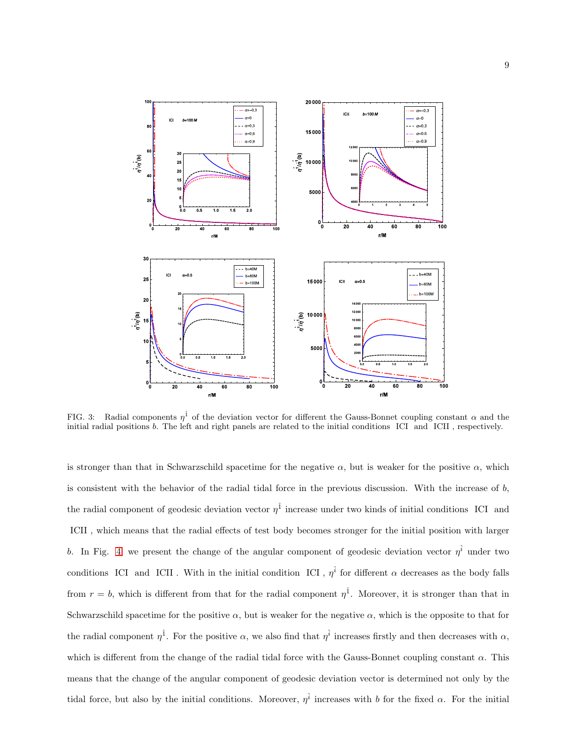

<span id="page-8-0"></span>FIG. 3: Radial components  $\eta^{\hat{1}}$  of the deviation vector for different the Gauss-Bonnet coupling constant  $\alpha$  and the initial radial positions b. The left and right panels are related to the initial conditions ICI and ICII , respectively.

is stronger than that in Schwarzschild spacetime for the negative  $\alpha$ , but is weaker for the positive  $\alpha$ , which is consistent with the behavior of the radial tidal force in the previous discussion. With the increase of b, the radial component of geodesic deviation vector  $\eta^{\hat{1}}$  increase under two kinds of initial conditions ICI and ICII , which means that the radial effects of test body becomes stronger for the initial position with larger b. In Fig. [4,](#page-9-0) we present the change of the angular component of geodesic deviation vector  $\eta^{\hat{i}}$  under two conditions ICI and ICII. With in the initial condition ICI,  $\eta^{\hat{i}}$  for different  $\alpha$  decreases as the body falls from  $r = b$ , which is different from that for the radial component  $\eta^{\hat{1}}$ . Moreover, it is stronger than that in Schwarzschild spacetime for the positive  $\alpha$ , but is weaker for the negative  $\alpha$ , which is the opposite to that for the radial component  $\eta^{\hat{1}}$ . For the positive  $\alpha$ , we also find that  $\eta^{\hat{i}}$  increases firstly and then decreases with  $\alpha$ , which is different from the change of the radial tidal force with the Gauss-Bonnet coupling constant  $\alpha$ . This means that the change of the angular component of geodesic deviation vector is determined not only by the tidal force, but also by the initial conditions. Moreover,  $\eta^{\hat{i}}$  increases with b for the fixed  $\alpha$ . For the initial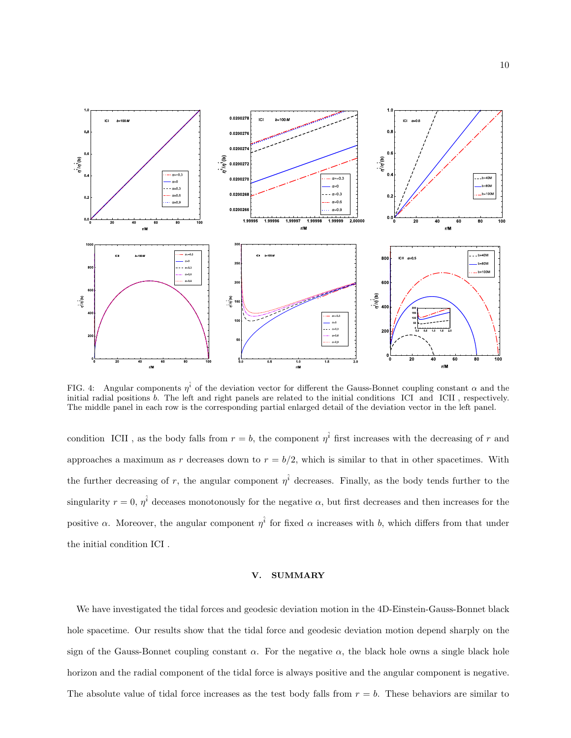

<span id="page-9-0"></span>FIG. 4: Angular components  $\eta^{\hat{i}}$  of the deviation vector for different the Gauss-Bonnet coupling constant  $\alpha$  and the initial radial positions b. The left and right panels are related to the initial conditions ICI and ICII , respectively. The middle panel in each row is the corresponding partial enlarged detail of the deviation vector in the left panel.

condition ICII, as the body falls from  $r = b$ , the component  $\eta^{\hat{i}}$  first increases with the decreasing of r and approaches a maximum as r decreases down to  $r = b/2$ , which is similar to that in other spacetimes. With the further decreasing of r, the angular component  $\eta^{\hat{i}}$  decreases. Finally, as the body tends further to the singularity  $r = 0$ ,  $\eta^{\hat{i}}$  deceases monotonously for the negative  $\alpha$ , but first decreases and then increases for the positive  $\alpha$ . Moreover, the angular component  $\eta^{\hat{i}}$  for fixed  $\alpha$  increases with b, which differs from that under the initial condition ICI .

## V. SUMMARY

We have investigated the tidal forces and geodesic deviation motion in the 4D-Einstein-Gauss-Bonnet black hole spacetime. Our results show that the tidal force and geodesic deviation motion depend sharply on the sign of the Gauss-Bonnet coupling constant  $\alpha$ . For the negative  $\alpha$ , the black hole owns a single black hole horizon and the radial component of the tidal force is always positive and the angular component is negative. The absolute value of tidal force increases as the test body falls from  $r = b$ . These behaviors are similar to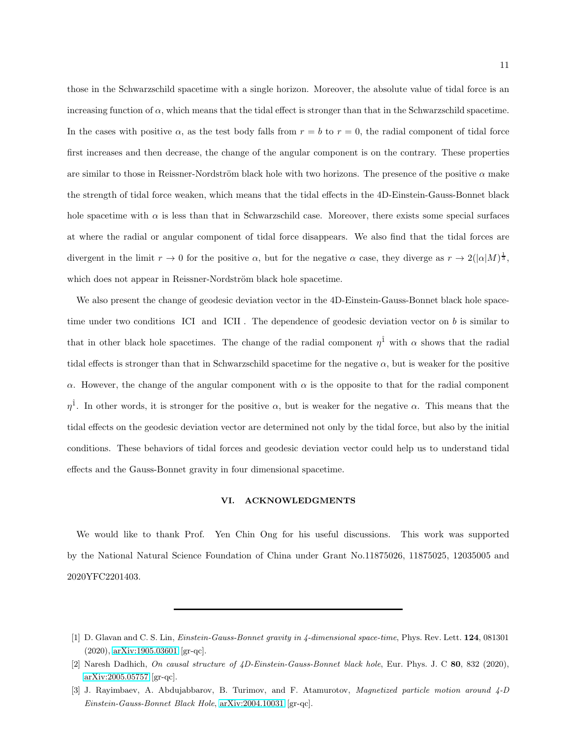those in the Schwarzschild spacetime with a single horizon. Moreover, the absolute value of tidal force is an increasing function of  $\alpha$ , which means that the tidal effect is stronger than that in the Schwarzschild spacetime. In the cases with positive  $\alpha$ , as the test body falls from  $r = b$  to  $r = 0$ , the radial component of tidal force first increases and then decrease, the change of the angular component is on the contrary. These properties are similar to those in Reissner-Nordström black hole with two horizons. The presence of the positive  $\alpha$  make the strength of tidal force weaken, which means that the tidal effects in the 4D-Einstein-Gauss-Bonnet black hole spacetime with  $\alpha$  is less than that in Schwarzschild case. Moreover, there exists some special surfaces at where the radial or angular component of tidal force disappears. We also find that the tidal forces are divergent in the limit  $r \to 0$  for the positive  $\alpha$ , but for the negative  $\alpha$  case, they diverge as  $r \to 2(|\alpha|M)^{\frac{1}{3}}$ , which does not appear in Reissner-Nordström black hole spacetime.

We also present the change of geodesic deviation vector in the 4D-Einstein-Gauss-Bonnet black hole spacetime under two conditions ICI and ICII. The dependence of geodesic deviation vector on  $b$  is similar to that in other black hole spacetimes. The change of the radial component  $\eta^{\hat{1}}$  with  $\alpha$  shows that the radial tidal effects is stronger than that in Schwarzschild spacetime for the negative  $\alpha$ , but is weaker for the positive α. However, the change of the angular component with  $\alpha$  is the opposite to that for the radial component  $\eta^{\hat{1}}$ . In other words, it is stronger for the positive  $\alpha$ , but is weaker for the negative  $\alpha$ . This means that the tidal effects on the geodesic deviation vector are determined not only by the tidal force, but also by the initial conditions. These behaviors of tidal forces and geodesic deviation vector could help us to understand tidal effects and the Gauss-Bonnet gravity in four dimensional spacetime.

## VI. ACKNOWLEDGMENTS

We would like to thank Prof. Yen Chin Ong for his useful discussions. This work was supported by the National Natural Science Foundation of China under Grant No.11875026, 11875025, 12035005 and 2020YFC2201403.

<span id="page-10-0"></span><sup>[1]</sup> D. Glavan and C. S. Lin, Einstein-Gauss-Bonnet gravity in 4-dimensional space-time, Phys. Rev. Lett. 124, 081301 (2020), [arXiv:1905.03601](http://arxiv.org/abs/1905.03601) [gr-qc].

<span id="page-10-1"></span><sup>[2]</sup> Naresh Dadhich, On causal structure of 4D-Einstein-Gauss-Bonnet black hole, Eur. Phys. J. C 80, 832 (2020), [arXiv:2005.05757](http://arxiv.org/abs/2005.05757) [gr-qc].

<sup>[3]</sup> J. Rayimbaev, A. Abdujabbarov, B. Turimov, and F. Atamurotov, Magnetized particle motion around 4-D Einstein-Gauss-Bonnet Black Hole, [arXiv:2004.10031](http://arxiv.org/abs/2004.10031) [gr-qc].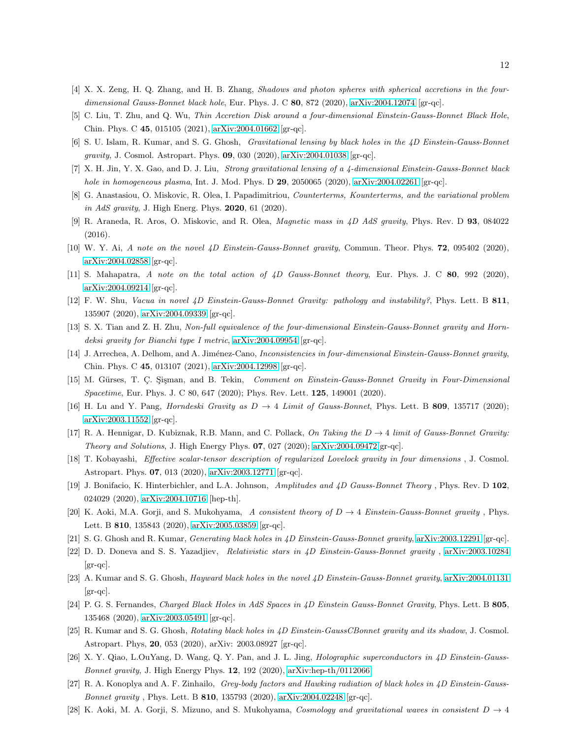- [4] X. X. Zeng, H. Q. Zhang, and H. B. Zhang, Shadows and photon spheres with spherical accretions in the fourdimensional Gauss-Bonnet black hole, Eur. Phys. J. C  $80$ ,  $872$  (2020), [arXiv:2004.12074](http://arxiv.org/abs/2004.12074) [gr-qc].
- [5] C. Liu, T. Zhu, and Q. Wu, Thin Accretion Disk around a four-dimensional Einstein-Gauss-Bonnet Black Hole, Chin. Phys. C 45, 015105 (2021), [arXiv:2004.01662](http://arxiv.org/abs/2004.01662) [gr-qc].
- [6] S. U. Islam, R. Kumar, and S. G. Ghosh, Gravitational lensing by black holes in the 4D Einstein-Gauss-Bonnet gravity, J. Cosmol. Astropart. Phys. 09, 030 (2020), [arXiv:2004.01038](http://arxiv.org/abs/2004.01038) [gr-qc].
- [7] X. H. Jin, Y. X. Gao, and D. J. Liu, Strong gravitational lensing of a 4-dimensional Einstein-Gauss-Bonnet black hole in homogeneous plasma, Int. J. Mod. Phys. D  $29$ , 2050065 (2020), [arXiv:2004.02261](http://arxiv.org/abs/2004.02261) [gr-qc].
- [8] G. Anastasiou, O. Miskovic, R. Olea, I. Papadimitriou, Counterterms, Kounterterms, and the variational problem in AdS gravity, J. High Energ. Phys. **2020**, 61 (2020).
- <span id="page-11-0"></span>[9] R. Araneda, R. Aros, O. Miskovic, and R. Olea, Magnetic mass in 4D AdS gravity, Phys. Rev. D 93, 084022 (2016).
- <span id="page-11-1"></span>[10] W. Y. Ai, A note on the novel 4D Einstein-Gauss-Bonnet gravity, Commun. Theor. Phys. 72, 095402 (2020), [arXiv:2004.02858](http://arxiv.org/abs/2004.02858) [gr-qc].
- [11] S. Mahapatra, A note on the total action of 4D Gauss-Bonnet theory, Eur. Phys. J. C 80, 992 (2020), [arXiv:2004.09214](http://arxiv.org/abs/2004.09214) [gr-qc].
- [12] F. W. Shu, Vacua in novel 4D Einstein-Gauss-Bonnet Gravity: pathology and instability?, Phys. Lett. B 811, 135907 (2020), [arXiv:2004.09339](http://arxiv.org/abs/2004.09339) [gr-qc].
- [13] S. X. Tian and Z. H. Zhu, Non-full equivalence of the four-dimensional Einstein-Gauss-Bonnet gravity and Horndeksi gravity for Bianchi type I metric, [arXiv:2004.09954](http://arxiv.org/abs/2004.09954) [gr-qc].
- <span id="page-11-2"></span>[14] J. Arrechea, A. Delhom, and A. Jiménez-Cano, Inconsistencies in four-dimensional Einstein-Gauss-Bonnet gravity, Chin. Phys. C 45, 013107 (2021), [arXiv:2004.12998](http://arxiv.org/abs/2004.12998) [gr-qc].
- <span id="page-11-3"></span>[15] M. Gürses, T. Ç. Şişman, and B. Tekin, Comment on Einstein-Gauss-Bonnet Gravity in Four-Dimensional Spacetime, Eur. Phys. J. C 80, 647 (2020); Phys. Rev. Lett. 125, 149001 (2020).
- <span id="page-11-4"></span>[16] H. Lu and Y. Pang, *Horndeski Gravity as*  $D \rightarrow 4$  *Limit of Gauss-Bonnet*, Phys. Lett. B **809**, 135717 (2020); [arXiv:2003.11552](http://arxiv.org/abs/2003.11552) [gr-qc].
- <span id="page-11-5"></span>[17] R. A. Hennigar, D. Kubiznak, R.B. Mann, and C. Pollack, On Taking the  $D \rightarrow 4$  limit of Gauss-Bonnet Gravity: Theory and Solutions, J. High Energy Phys. 07, 027 (2020); [arXiv:2004.09472\[](http://arxiv.org/abs/2004.09472)gr-qc].
- <span id="page-11-6"></span>[18] T. Kobayashi, Effective scalar-tensor description of regularized Lovelock gravity in four dimensions , J. Cosmol. Astropart. Phys. 07, 013 (2020), [arXiv:2003.12771](http://arxiv.org/abs/2003.12771) [gr-qc].
- <span id="page-11-7"></span>[19] J. Bonifacio, K. Hinterbichler, and L.A. Johnson, Amplitudes and 4D Gauss-Bonnet Theory , Phys. Rev. D 102, 024029 (2020), [arXiv:2004.10716](http://arxiv.org/abs/2004.10716) [hep-th].
- [20] K. Aoki, M.A. Gorji, and S. Mukohyama, A consistent theory of  $D \to 4$  Einstein-Gauss-Bonnet gravity, Phys. Lett. B 810, 135843 (2020), [arXiv:2005.03859](http://arxiv.org/abs/2005.03859) [gr-qc].
- <span id="page-11-8"></span>[21] S. G. Ghosh and R. Kumar, Generating black holes in 4D Einstein-Gauss-Bonnet gravity, [arXiv:2003.12291](http://arxiv.org/abs/2003.12291) [gr-qc].
- [22] D. D. Doneva and S. S. Yazadjiev, Relativistic stars in 4D Einstein-Gauss-Bonnet gravity , [arXiv:2003.10284](http://arxiv.org/abs/2003.10284)  $\left[\text{gr-qc}\right]$ .
- [23] A. Kumar and S. G. Ghosh, *Hayward black holes in the novel 4D Einstein-Gauss-Bonnet gravity*, [arXiv:2004.01131](http://arxiv.org/abs/2004.01131)  $\left[\text{gr-qc}\right]$ .
- [24] P. G. S. Fernandes, Charged Black Holes in AdS Spaces in 4D Einstein Gauss-Bonnet Gravity, Phys. Lett. B 805, 135468 (2020), [arXiv:2003.05491](http://arxiv.org/abs/2003.05491) [gr-qc].
- [25] R. Kumar and S. G. Ghosh, Rotating black holes in 4D Einstein-GaussCBonnet gravity and its shadow, J. Cosmol. Astropart. Phys, 20, 053 (2020), arXiv: 2003.08927 [gr-qc].
- [26] X. Y. Qiao, L.OuYang, D. Wang, Q. Y. Pan, and J. L. Jing, *Holographic superconductors in 4D Einstein-Gauss-*Bonnet gravity, J. High Energy Phys. 12, 192 (2020), [arXiv:hep-th/0112066.](http://arxiv.org/abs/hep-th/0112066)
- [27] R. A. Konoplya and A. F. Zinhailo, Grey-body factors and Hawking radiation of black holes in 4D Einstein-Gauss-Bonnet gravity , Phys. Lett. B 810, 135793 (2020), [arXiv:2004.02248](http://arxiv.org/abs/2004.02248) [gr-qc].
- [28] K. Aoki, M. A. Gorji, S. Mizuno, and S. Mukohyama, Cosmology and gravitational waves in consistent  $D \to 4$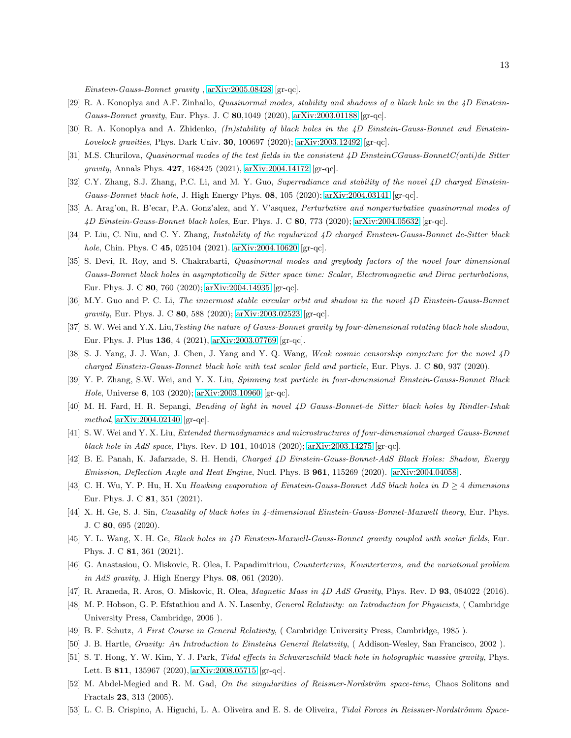Einstein-Gauss-Bonnet gravity , [arXiv:2005.08428](http://arxiv.org/abs/2005.08428) [gr-qc].

- [29] R. A. Konoplya and A.F. Zinhailo, Quasinormal modes, stability and shadows of a black hole in the 4D EinsteinGauss-Bonnet gravity, Eur. Phys. J. C 80,1049 (2020), [arXiv:2003.01188](http://arxiv.org/abs/2003.01188) [gr-qc].
- [30] R. A. Konoplya and A. Zhidenko, (In)stability of black holes in the 4D Einstein-Gauss-Bonnet and Einstein-Lovelock gravities, Phys. Dark Univ. 30, 100697 (2020); [arXiv:2003.12492](http://arxiv.org/abs/2003.12492) [gr-qc].
- [31] M.S. Churilova, Quasinormal modes of the test fields in the consistent 4D EinsteinCGauss-BonnetC(anti)de Sitter gravity, Annals Phys. 427, 168425 (2021), [arXiv:2004.14172](http://arxiv.org/abs/2004.14172) [gr-qc].
- [32] C.Y. Zhang, S.J. Zhang, P.C. Li, and M. Y. Guo, Superradiance and stability of the novel 4D charged Einstein-Gauss-Bonnet black hole, J. High Energy Phys.  $0.8$ ,  $105$  (2020); [arXiv:2004.03141](http://arxiv.org/abs/2004.03141) [gr-qc].
- [33] A. Arag'on, R. B'ecar, P.A. Gonz'alez, and Y. V'asquez, Perturbative and nonperturbative quasinormal modes of 4D Einstein-Gauss-Bonnet black holes, Eur. Phys. J. C 80, 773 (2020); [arXiv:2004.05632](http://arxiv.org/abs/2004.05632) [gr-qc].
- [34] P. Liu, C. Niu, and C. Y. Zhang, Instability of the regularized 4D charged Einstein-Gauss-Bonnet de-Sitter black hole, Chin. Phys. C 45, 025104 (2021). [arXiv:2004.10620](http://arxiv.org/abs/2004.10620) [gr-qc].
- [35] S. Devi, R. Roy, and S. Chakrabarti, Quasinormal modes and greybody factors of the novel four dimensional Gauss-Bonnet black holes in asymptotically de Sitter space time: Scalar, Electromagnetic and Dirac perturbations, Eur. Phys. J. C 80, 760 (2020); [arXiv:2004.14935](http://arxiv.org/abs/2004.14935) [gr-qc].
- [36] M.Y. Guo and P. C. Li, The innermost stable circular orbit and shadow in the novel 4D Einstein-Gauss-Bonnet gravity, Eur. Phys. J. C 80, 588 (2020); [arXiv:2003.02523](http://arxiv.org/abs/2003.02523) [gr-qc].
- [37] S. W. Wei and Y.X. Liu, Testing the nature of Gauss-Bonnet gravity by four-dimensional rotating black hole shadow, Eur. Phys. J. Plus 136, 4 (2021), [arXiv:2003.07769](http://arxiv.org/abs/2003.07769) [gr-qc].
- [38] S. J. Yang, J. J. Wan, J. Chen, J. Yang and Y. Q. Wang, Weak cosmic censorship conjecture for the novel 4D charged Einstein-Gauss-Bonnet black hole with test scalar field and particle, Eur. Phys. J. C 80, 937 (2020).
- [39] Y. P. Zhang, S.W. Wei, and Y. X. Liu, Spinning test particle in four-dimensional Einstein-Gauss-Bonnet Black Hole, Universe 6, 103 (2020); [arXiv:2003.10960](http://arxiv.org/abs/2003.10960) [gr-qc].
- [40] M. H. Fard, H. R. Sepangi, Bending of light in novel 4D Gauss-Bonnet-de Sitter black holes by Rindler-Ishak method, [arXiv:2004.02140](http://arxiv.org/abs/2004.02140) [gr-qc].
- [41] S. W. Wei and Y. X. Liu, *Extended thermodynamics and microstructures of four-dimensional charged Gauss-Bonnet* black hole in AdS space, Phys. Rev. D 101, 104018 (2020); [arXiv:2003.14275](http://arxiv.org/abs/2003.14275) [gr-qc].
- [42] B. E. Panah, K. Jafarzade, S. H. Hendi, Charged 4D Einstein-Gauss-Bonnet-AdS Black Holes: Shadow, Energy Emission, Deflection Angle and Heat Engine, Nucl. Phys. B 961, 115269 (2020). [\[arXiv:2004.04058\]](http://arxiv.org/abs/2004.04058).
- [43] C. H. Wu, Y. P. Hu, H. Xu Hawking evaporation of Einstein-Gauss-Bonnet AdS black holes in  $D \geq 4$  dimensions Eur. Phys. J. C 81, 351 (2021).
- [44] X. H. Ge, S. J. Sin, Causality of black holes in 4-dimensional Einstein-Gauss-Bonnet-Maxwell theory, Eur. Phys. J. C 80, 695 (2020).
- [45] Y. L. Wang, X. H. Ge, Black holes in 4D Einstein-Maxwell-Gauss-Bonnet gravity coupled with scalar fields, Eur. Phys. J. C 81, 361 (2021).
- [46] G. Anastasiou, O. Miskovic, R. Olea, I. Papadimitriou, Counterterms, Kounterterms, and the variational problem in AdS gravity, J. High Energy Phys. 08, 061 (2020).
- <span id="page-12-0"></span>[47] R. Araneda, R. Aros, O. Miskovic, R. Olea, Magnetic Mass in 4D AdS Gravity, Phys. Rev. D 93, 084022 (2016).
- <span id="page-12-1"></span>[48] M. P. Hobson, G. P. Efstathiou and A. N. Lasenby, General Relativity: an Introduction for Physicists, ( Cambridge University Press, Cambridge, 2006 ).
- [49] B. F. Schutz, A First Course in General Relativity, ( Cambridge University Press, Cambridge, 1985 ).
- <span id="page-12-4"></span>[50] J. B. Hartle, Gravity: An Introduction to Einsteins General Relativity, ( Addison-Wesley, San Francisco, 2002 ).
- [51] S. T. Hong, Y. W. Kim, Y. J. Park, Tidal effects in Schwarzschild black hole in holographic massive gravity, Phys. Lett. B 811, 135967 (2020), [arXiv:2008.05715](http://arxiv.org/abs/2008.05715) [gr-qc].
- <span id="page-12-2"></span>[52] M. Abdel-Megied and R. M. Gad, On the singularities of Reissner-Nordström space-time, Chaos Solitons and Fractals 23, 313 (2005).
- <span id="page-12-3"></span>[53] L. C. B. Crispino, A. Higuchi, L. A. Oliveira and E. S. de Oliveira, Tidal Forces in Reissner-Nordströmm Space-